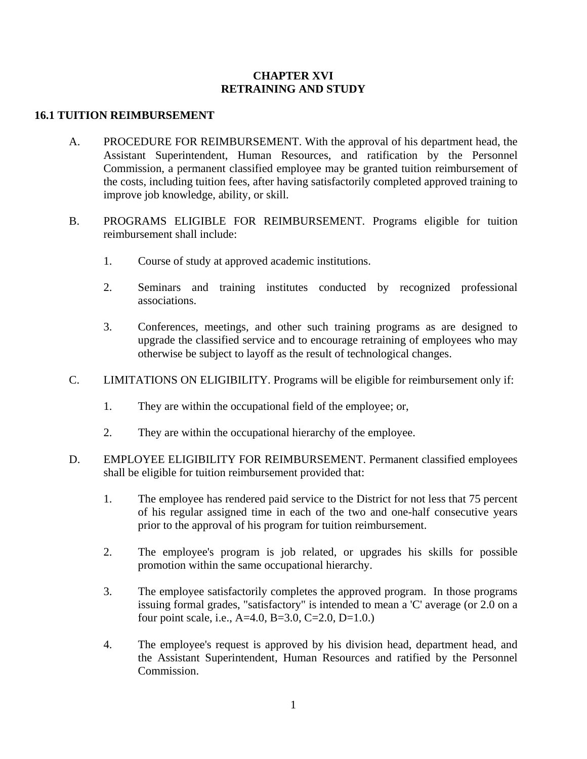## **CHAPTER XVI RETRAINING AND STUDY**

## **16.1 TUITION REIMBURSEMENT**

- A. PROCEDURE FOR REIMBURSEMENT. With the approval of his department head, the Assistant Superintendent, Human Resources, and ratification by the Personnel Commission, a permanent classified employee may be granted tuition reimbursement of the costs, including tuition fees, after having satisfactorily completed approved training to improve job knowledge, ability, or skill.
- B. PROGRAMS ELIGIBLE FOR REIMBURSEMENT. Programs eligible for tuition reimbursement shall include:
	- 1. Course of study at approved academic institutions.
	- 2. Seminars and training institutes conducted by recognized professional associations.
	- 3. Conferences, meetings, and other such training programs as are designed to upgrade the classified service and to encourage retraining of employees who may otherwise be subject to layoff as the result of technological changes.
- C. LIMITATIONS ON ELIGIBILITY. Programs will be eligible for reimbursement only if:
	- 1. They are within the occupational field of the employee; or,
	- 2. They are within the occupational hierarchy of the employee.
- D. EMPLOYEE ELIGIBILITY FOR REIMBURSEMENT. Permanent classified employees shall be eligible for tuition reimbursement provided that:
	- 1. The employee has rendered paid service to the District for not less that 75 percent of his regular assigned time in each of the two and one-half consecutive years prior to the approval of his program for tuition reimbursement.
	- 2. The employee's program is job related, or upgrades his skills for possible promotion within the same occupational hierarchy.
	- 3. The employee satisfactorily completes the approved program. In those programs issuing formal grades, "satisfactory" is intended to mean a 'C' average (or 2.0 on a four point scale, i.e.,  $A=4.0$ ,  $B=3.0$ ,  $C=2.0$ ,  $D=1.0$ .)
	- 4. The employee's request is approved by his division head, department head, and the Assistant Superintendent, Human Resources and ratified by the Personnel Commission.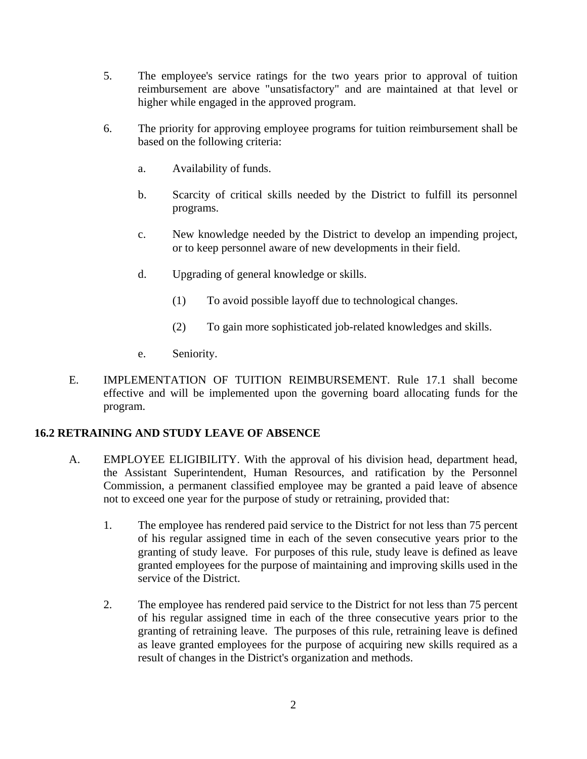- 5. The employee's service ratings for the two years prior to approval of tuition reimbursement are above "unsatisfactory" and are maintained at that level or higher while engaged in the approved program.
- 6. The priority for approving employee programs for tuition reimbursement shall be based on the following criteria:
	- a. Availability of funds.
	- b. Scarcity of critical skills needed by the District to fulfill its personnel programs.
	- c. New knowledge needed by the District to develop an impending project, or to keep personnel aware of new developments in their field.
	- d. Upgrading of general knowledge or skills.
		- (1) To avoid possible layoff due to technological changes.
		- (2) To gain more sophisticated job-related knowledges and skills.
	- e. Seniority.
- E. IMPLEMENTATION OF TUITION REIMBURSEMENT. Rule 17.1 shall become effective and will be implemented upon the governing board allocating funds for the program.

## **16.2 RETRAINING AND STUDY LEAVE OF ABSENCE**

- A. EMPLOYEE ELIGIBILITY. With the approval of his division head, department head, the Assistant Superintendent, Human Resources, and ratification by the Personnel Commission, a permanent classified employee may be granted a paid leave of absence not to exceed one year for the purpose of study or retraining, provided that:
	- 1. The employee has rendered paid service to the District for not less than 75 percent of his regular assigned time in each of the seven consecutive years prior to the granting of study leave. For purposes of this rule, study leave is defined as leave granted employees for the purpose of maintaining and improving skills used in the service of the District.
	- 2. The employee has rendered paid service to the District for not less than 75 percent of his regular assigned time in each of the three consecutive years prior to the granting of retraining leave. The purposes of this rule, retraining leave is defined as leave granted employees for the purpose of acquiring new skills required as a result of changes in the District's organization and methods.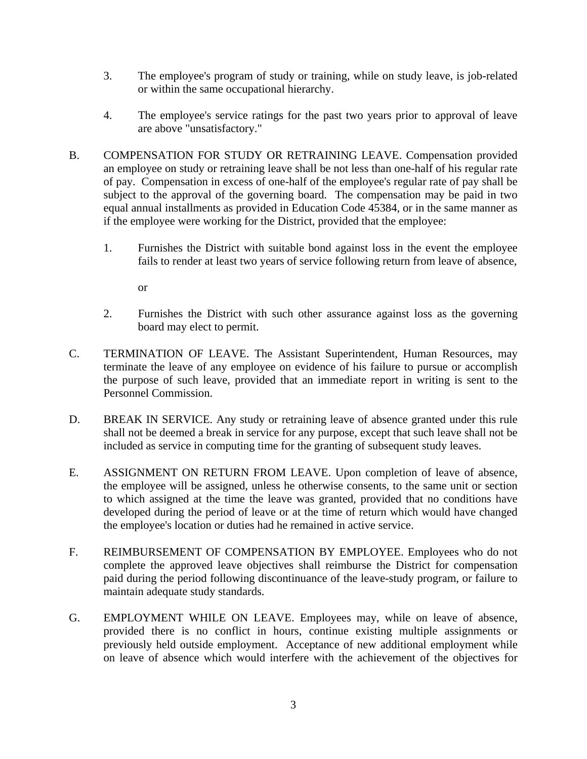- 3. The employee's program of study or training, while on study leave, is job-related or within the same occupational hierarchy.
- 4. The employee's service ratings for the past two years prior to approval of leave are above "unsatisfactory."
- B. COMPENSATION FOR STUDY OR RETRAINING LEAVE. Compensation provided an employee on study or retraining leave shall be not less than one-half of his regular rate of pay. Compensation in excess of one-half of the employee's regular rate of pay shall be subject to the approval of the governing board. The compensation may be paid in two equal annual installments as provided in Education Code 45384, or in the same manner as if the employee were working for the District, provided that the employee:
	- 1. Furnishes the District with suitable bond against loss in the event the employee fails to render at least two years of service following return from leave of absence,

or

- 2. Furnishes the District with such other assurance against loss as the governing board may elect to permit.
- C. TERMINATION OF LEAVE. The Assistant Superintendent, Human Resources, may terminate the leave of any employee on evidence of his failure to pursue or accomplish the purpose of such leave, provided that an immediate report in writing is sent to the Personnel Commission.
- D. BREAK IN SERVICE. Any study or retraining leave of absence granted under this rule shall not be deemed a break in service for any purpose, except that such leave shall not be included as service in computing time for the granting of subsequent study leaves.
- E. ASSIGNMENT ON RETURN FROM LEAVE. Upon completion of leave of absence, the employee will be assigned, unless he otherwise consents, to the same unit or section to which assigned at the time the leave was granted, provided that no conditions have developed during the period of leave or at the time of return which would have changed the employee's location or duties had he remained in active service.
- F. REIMBURSEMENT OF COMPENSATION BY EMPLOYEE. Employees who do not complete the approved leave objectives shall reimburse the District for compensation paid during the period following discontinuance of the leave-study program, or failure to maintain adequate study standards.
- G. EMPLOYMENT WHILE ON LEAVE. Employees may, while on leave of absence, provided there is no conflict in hours, continue existing multiple assignments or previously held outside employment. Acceptance of new additional employment while on leave of absence which would interfere with the achievement of the objectives for